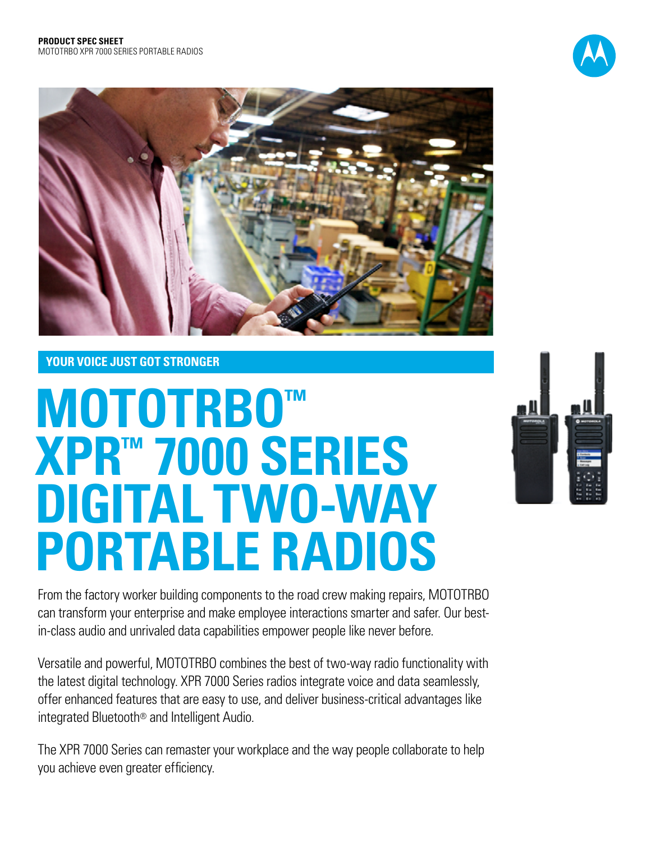



## **YOUR VOICE JUST GOT STRONGER**

# **MOTOTRBO™ XPR™ 7000 SERIES DIGITAL TWO-WAY portable RADIOS**



From the factory worker building components to the road crew making repairs, MOTOTRBO can transform your enterprise and make employee interactions smarter and safer. Our bestin-class audio and unrivaled data capabilities empower people like never before.

Versatile and powerful, MOTOTRBO combines the best of two-way radio functionality with the latest digital technology. XPR 7000 Series radios integrate voice and data seamlessly, offer enhanced features that are easy to use, and deliver business-critical advantages like integrated Bluetooth® and Intelligent Audio.

The XPR 7000 Series can remaster your workplace and the way people collaborate to help you achieve even greater efficiency.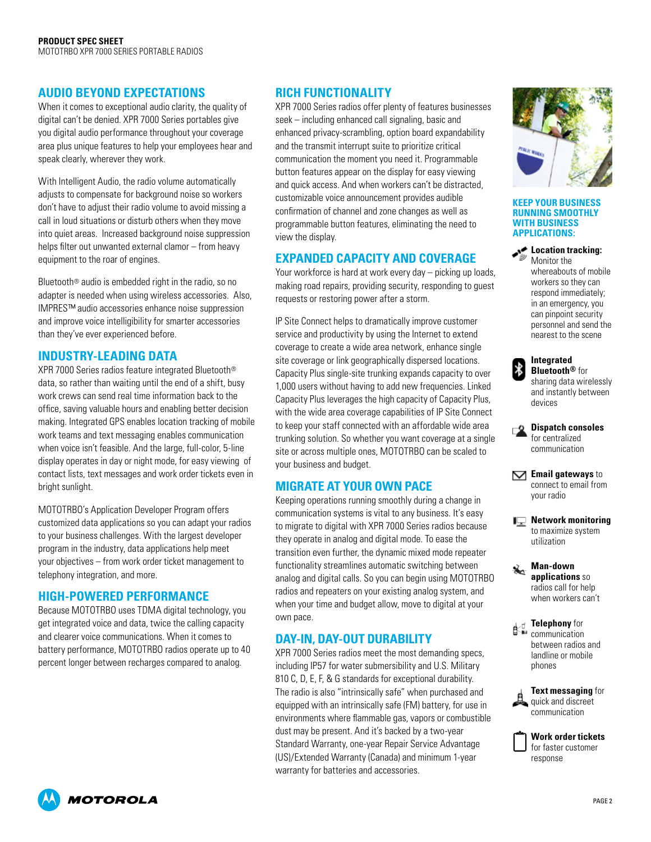## **AUDIO BEYOND EXPECTATIONS**

When it comes to exceptional audio clarity, the quality of digital can't be denied. XPR 7000 Series portables give you digital audio performance throughout your coverage area plus unique features to help your employees hear and speak clearly, wherever they work.

With Intelligent Audio, the radio volume automatically adjusts to compensate for background noise so workers don't have to adjust their radio volume to avoid missing a call in loud situations or disturb others when they move into quiet areas. Increased background noise suppression helps filter out unwanted external clamor – from heavy equipment to the roar of engines.

Bluetooth® audio is embedded right in the radio, so no adapter is needed when using wireless accessories. Also, IMPRES™ audio accessories enhance noise suppression and improve voice intelligibility for smarter accessories than they've ever experienced before.

### **INDUSTRY-LEADING DATA**

XPR 7000 Series radios feature integrated Bluetooth® data, so rather than waiting until the end of a shift, busy work crews can send real time information back to the office, saving valuable hours and enabling better decision making. Integrated GPS enables location tracking of mobile work teams and text messaging enables communication when voice isn't feasible. And the large, full-color, 5-line display operates in day or night mode, for easy viewing of contact lists, text messages and work order tickets even in bright sunlight.

MOTOTRBO's Application Developer Program offers customized data applications so you can adapt your radios to your business challenges. With the largest developer program in the industry, data applications help meet your objectives – from work order ticket management to telephony integration, and more.

## **HIGH-POWERED PERFORMANCE**

Because MOTOTRBO uses TDMA digital technology, you get integrated voice and data, twice the calling capacity and clearer voice communications. When it comes to battery performance, MOTOTRBO radios operate up to 40 percent longer between recharges compared to analog.

## **RICH FUNCTIONALITY**

XPR 7000 Series radios offer plenty of features businesses seek – including enhanced call signaling, basic and enhanced privacy-scrambling, option board expandability and the transmit interrupt suite to prioritize critical communication the moment you need it. Programmable button features appear on the display for easy viewing and quick access. And when workers can't be distracted, customizable voice announcement provides audible confirmation of channel and zone changes as well as programmable button features, eliminating the need to view the display.

## **EXPANDED CAPACITY AND COVERAGE**

Your workforce is hard at work every day – picking up loads, making road repairs, providing security, responding to guest requests or restoring power after a storm.

IP Site Connect helps to dramatically improve customer service and productivity by using the Internet to extend coverage to create a wide area network, enhance single site coverage or link geographically dispersed locations. Capacity Plus single-site trunking expands capacity to over 1,000 users without having to add new frequencies. Linked Capacity Plus leverages the high capacity of Capacity Plus, with the wide area coverage capabilities of IP Site Connect to keep your staff connected with an affordable wide area trunking solution. So whether you want coverage at a single site or across multiple ones, MOTOTRBO can be scaled to your business and budget.

## **MIGRATE AT YOUR OWN PACE**

Keeping operations running smoothly during a change in communication systems is vital to any business. It's easy to migrate to digital with XPR 7000 Series radios because they operate in analog and digital mode. To ease the transition even further, the dynamic mixed mode repeater functionality streamlines automatic switching between analog and digital calls. So you can begin using MOTOTRBO radios and repeaters on your existing analog system, and when your time and budget allow, move to digital at your own pace.

## **DAY-IN, DAY-OUT DURABILITY**

XPR 7000 Series radios meet the most demanding specs, including IP57 for water submersibility and U.S. Military 810 C, D, E, F, & G standards for exceptional durability. The radio is also "intrinsically safe" when purchased and equipped with an intrinsically safe (FM) battery, for use in environments where flammable gas, vapors or combustible dust may be present. And it's backed by a two-year Standard Warranty, one-year Repair Service Advantage (US)/Extended Warranty (Canada) and minimum 1-year warranty for batteries and accessories.



#### **Keep your business running smoothly with business applications:**

## **Location tracking:**

Monitor the whereabouts of mobile workers so they can respond immediately; in an emergency, you can pinpoint security personnel and send the nearest to the scene

| <b>Integrated</b>       |
|-------------------------|
| <b>Bluetooth®</b> for   |
| sharing data wirelessly |
| and instantly between   |
| devices                 |

**Dispatch consoles** for centralized communication

**M** Email gateways to connect to email from your radio

**Network monitoring** to maximize system utilization

**Man-down applications** so radios call for help when workers can't

**Telephony** for communication between radios and landline or mobile phones

**Text messaging** for quick and discreet communication



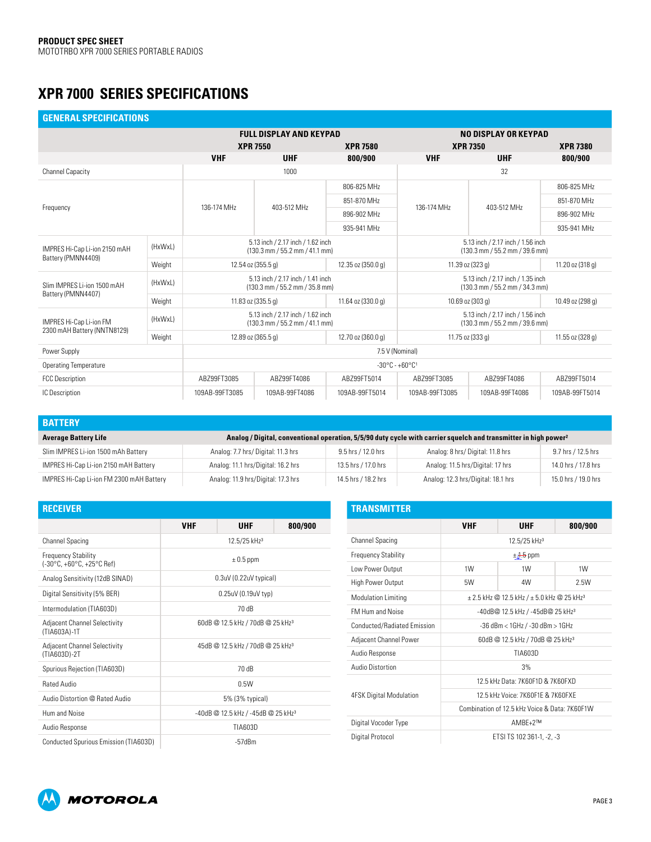## **XPR 7000 Series Specifications**

| <b>GENERAL SPECIFICATIONS</b>                          |         |                                                                                               |                                                                                               |                    |                                                                                               |                |                  |  |  |
|--------------------------------------------------------|---------|-----------------------------------------------------------------------------------------------|-----------------------------------------------------------------------------------------------|--------------------|-----------------------------------------------------------------------------------------------|----------------|------------------|--|--|
|                                                        |         |                                                                                               | <b>FULL DISPLAY AND KEYPAD</b>                                                                |                    | NO DISPLAY OR KEYPAD                                                                          |                |                  |  |  |
|                                                        |         | <b>XPR 7550</b>                                                                               |                                                                                               | <b>XPR 7580</b>    | <b>XPR 7350</b>                                                                               |                | <b>XPR 7380</b>  |  |  |
|                                                        |         | <b>VHF</b>                                                                                    | <b>UHF</b><br>800/900                                                                         |                    | <b>VHF</b><br><b>UHF</b>                                                                      |                | 800/900          |  |  |
| Channel Capacity                                       |         | 1000                                                                                          |                                                                                               |                    | 32                                                                                            |                |                  |  |  |
|                                                        |         |                                                                                               | 403-512 MHz                                                                                   | 806-825 MHz        |                                                                                               | 403-512 MHz    | 806-825 MHz      |  |  |
| Frequency                                              |         | 136-174 MHz                                                                                   |                                                                                               | 851-870 MHz        | 136-174 MHz                                                                                   |                | 851-870 MHz      |  |  |
|                                                        |         |                                                                                               |                                                                                               | 896-902 MHz        |                                                                                               |                | 896-902 MHz      |  |  |
|                                                        |         |                                                                                               |                                                                                               | 935-941 MHz        |                                                                                               |                | 935-941 MHz      |  |  |
| (HxWxL)<br>IMPRES Hi-Cap Li-ion 2150 mAH               |         |                                                                                               | 5.13 inch / 2.17 inch / 1.62 inch<br>$(130.3 \text{ mm} / 55.2 \text{ mm} / 41.1 \text{ mm})$ |                    | 5.13 inch / 2.17 inch / 1.56 inch<br>$(130.3 \text{ mm} / 55.2 \text{ mm} / 39.6 \text{ mm})$ |                |                  |  |  |
| Battery (PMNN4409)                                     | Weight  | 12.54 oz (355.5 g)                                                                            |                                                                                               | 12.35 oz (350.0 g) | 11.39 oz (323 g)                                                                              |                | 11.20 oz (318 g) |  |  |
| Slim IMPRES Li-ion 1500 mAH<br>Battery (PMNN4407)      | (HxWxL) | 5.13 inch / 2.17 inch / 1.41 inch<br>$(130.3 \text{ mm} / 55.2 \text{ mm} / 35.8 \text{ mm})$ |                                                                                               |                    | 5.13 inch / 2.17 inch / 1.35 inch<br>$(130.3 \text{ mm} / 55.2 \text{ mm} / 34.3 \text{ mm})$ |                |                  |  |  |
|                                                        | Weight  | 11.83 oz (335.5 g)                                                                            |                                                                                               | 11.64 oz (330.0 g) | 10.69 oz (303 g)                                                                              |                | 10.49 oz (298 g) |  |  |
| IMPRES Hi-Cap Li-ion FM<br>2300 mAH Battery (NNTN8129) | (HxWxL) | 5.13 inch / 2.17 inch / 1.62 inch<br>$(130.3 \text{ mm} / 55.2 \text{ mm} / 41.1 \text{ mm})$ |                                                                                               |                    | 5.13 inch / 2.17 inch / 1.56 inch<br>(130.3 mm / 55.2 mm / 39.6 mm)                           |                |                  |  |  |
|                                                        | Weight  | 12.89 oz (365.5 g)                                                                            |                                                                                               | 12.70 oz (360.0 g) | 11.75 oz (333 g)                                                                              |                | 11.55 oz (328 g) |  |  |
| Power Supply                                           |         | 7.5 V (Nominal)                                                                               |                                                                                               |                    |                                                                                               |                |                  |  |  |
| <b>Operating Temperature</b>                           |         | $-30^{\circ}$ C - +60 $^{\circ}$ C <sup>1</sup>                                               |                                                                                               |                    |                                                                                               |                |                  |  |  |
| <b>FCC Description</b>                                 |         | ABZ99FT3085                                                                                   | AB799FT4086                                                                                   | ABZ99FT5014        | ABZ99FT3085                                                                                   | ABZ99FT4086    | ABZ99FT5014      |  |  |
| IC Description                                         |         | 109AB-99FT3085                                                                                | 109AB-99FT4086                                                                                | 109AB-99FT5014     | 109AB-99FT3085                                                                                | 109AB-99FT4086 | 109AB-99FT5014   |  |  |

| <b>BATTERY</b>                           |                                    |                                                                                                                             |                                    |                     |  |  |  |  |  |
|------------------------------------------|------------------------------------|-----------------------------------------------------------------------------------------------------------------------------|------------------------------------|---------------------|--|--|--|--|--|
| <b>Average Battery Life</b>              |                                    | Analog / Digital, conventional operation, 5/5/90 duty cycle with carrier squelch and transmitter in high power <sup>2</sup> |                                    |                     |  |  |  |  |  |
| Slim IMPRES Li-ion 1500 mAh Battery      | Analog: 7.7 hrs/Digital: 11.3 hrs  | 9.5 hrs / 12.0 hrs                                                                                                          | Analog: 8 hrs/Digital: 11.8 hrs    | 9.7 hrs / 12.5 hrs  |  |  |  |  |  |
| IMPRES Hi-Cap Li-ion 2150 mAH Battery    | Analog: 11.1 hrs/Digital: 16.2 hrs | 13.5 hrs / 17.0 hrs                                                                                                         | Analog: 11.5 hrs/Digital: 17 hrs   | 14.0 hrs / 17.8 hrs |  |  |  |  |  |
| IMPRES Hi-Cap Li-ion FM 2300 mAH Battery | Analog: 11.9 hrs/Digital: 17.3 hrs | 14.5 hrs / 18.2 hrs                                                                                                         | Analog: 12.3 hrs/Digital: 18.1 hrs | 15.0 hrs / 19.0 hrs |  |  |  |  |  |

| <b>RECEIVER</b>                                                                |                                              |                                    |         |  |  |  |
|--------------------------------------------------------------------------------|----------------------------------------------|------------------------------------|---------|--|--|--|
|                                                                                | <b>VHF</b>                                   | <b>UHF</b>                         | 800/900 |  |  |  |
| <b>Channel Spacing</b>                                                         | 12.5/25 kHz <sup>3</sup>                     |                                    |         |  |  |  |
| <b>Frequency Stability</b><br>$(-30^{\circ}C, +60^{\circ}C, +25^{\circ}C$ Ref) | $\pm 0.5$ ppm                                |                                    |         |  |  |  |
| Analog Sensitivity (12dB SINAD)                                                |                                              | $0.3uV(0.22uV$ typical)            |         |  |  |  |
| Digital Sensitivity (5% BER)                                                   | 0.25uV (0.19uV typ)                          |                                    |         |  |  |  |
| Intermodulation (TIA603D)                                                      |                                              | 70 dB                              |         |  |  |  |
| <b>Adjacent Channel Selectivity</b><br>(TIA603A)-1T                            | 60dB @ 12.5 kHz / 70dB @ 25 kHz <sup>3</sup> |                                    |         |  |  |  |
| <b>Adjacent Channel Selectivity</b><br>(TIA603D)-2T                            | 45dB @ 12.5 kHz / 70dB @ 25 kHz3             |                                    |         |  |  |  |
| Spurious Rejection (TIA603D)                                                   |                                              | 70 dB                              |         |  |  |  |
| <b>Rated Audio</b>                                                             |                                              | 0.5W                               |         |  |  |  |
| Audio Distortion @ Rated Audio                                                 |                                              | 5% (3% typical)                    |         |  |  |  |
| Hum and Noise                                                                  |                                              | -40dB @ 12.5 kHz / -45dB @ 25 kHz3 |         |  |  |  |
| Audio Response                                                                 |                                              | TIA603D                            |         |  |  |  |
| Conducted Spurious Emission (TIA603D)                                          |                                              | $-57$ d $Bm$                       |         |  |  |  |

| <b>TRANSMITTER</b>             |                                                                |               |         |  |  |  |  |
|--------------------------------|----------------------------------------------------------------|---------------|---------|--|--|--|--|
|                                | <b>VHF</b>                                                     | <b>UHF</b>    | 800/900 |  |  |  |  |
| <b>Channel Spacing</b>         | 12.5/25 kHz <sup>3</sup>                                       |               |         |  |  |  |  |
| <b>Frequency Stability</b>     |                                                                | $\pm 1.5$ ppm |         |  |  |  |  |
| Low Power Output               | 1W                                                             | 1W            | 1W      |  |  |  |  |
| High Power Output              | 5W                                                             | 4W            | 2.5W    |  |  |  |  |
| <b>Modulation Limiting</b>     | $\pm$ 2.5 kHz @ 12.5 kHz / $\pm$ 5.0 kHz @ 25 kHz <sup>3</sup> |               |         |  |  |  |  |
| <b>FM Hum and Noise</b>        | -40dB@ 12.5 kHz / -45dB@ 25 kHz3                               |               |         |  |  |  |  |
| Conducted/Radiated Emission    | $-36$ dBm < $1$ GHz / $-30$ dBm > $1$ GHz                      |               |         |  |  |  |  |
| Adjacent Channel Power         | 60dB @ 12.5 kHz / 70dB @ 25 kHz3                               |               |         |  |  |  |  |
| Audio Response                 | TIA603D                                                        |               |         |  |  |  |  |
| Audio Distortion               |                                                                | 3%            |         |  |  |  |  |
|                                | 12.5 kHz Data: 7K60F1D & 7K60FXD                               |               |         |  |  |  |  |
| <b>4FSK Digital Modulation</b> | 12.5 kHz Voice: 7K60F1F & 7K60FXF                              |               |         |  |  |  |  |
|                                | Combination of 12.5 kHz Voice & Data: 7K60F1W                  |               |         |  |  |  |  |
| Digital Vocoder Type           | $AMBF+2^{TM}$                                                  |               |         |  |  |  |  |
| Digital Protocol               | ETSI TS 102 361-1, -2, -3                                      |               |         |  |  |  |  |